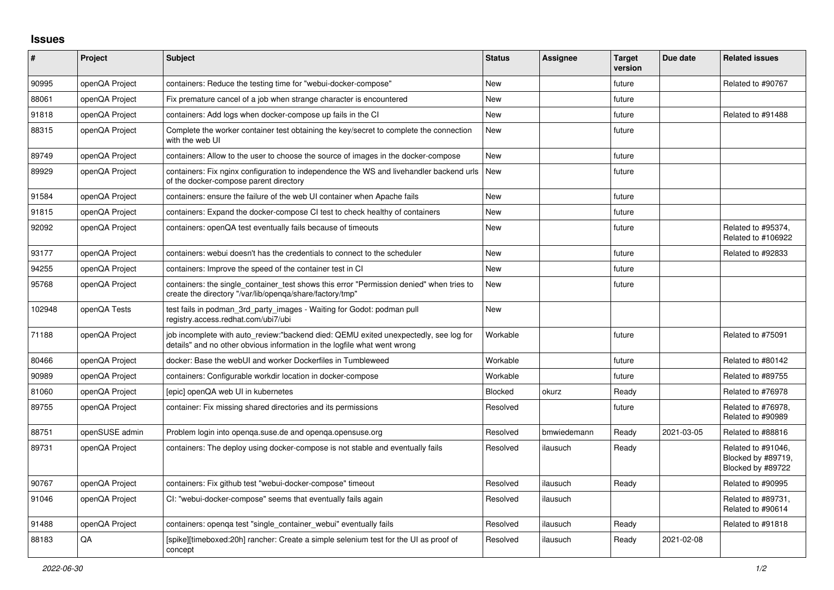## **Issues**

| #      | Project        | <b>Subject</b>                                                                                                                                                   | <b>Status</b> | Assignee    | <b>Target</b><br>version | Due date   | <b>Related issues</b>                                         |
|--------|----------------|------------------------------------------------------------------------------------------------------------------------------------------------------------------|---------------|-------------|--------------------------|------------|---------------------------------------------------------------|
| 90995  | openQA Project | containers: Reduce the testing time for "webui-docker-compose"                                                                                                   | <b>New</b>    |             | future                   |            | Related to #90767                                             |
| 88061  | openQA Project | Fix premature cancel of a job when strange character is encountered                                                                                              | <b>New</b>    |             | future                   |            |                                                               |
| 91818  | openQA Project | containers: Add logs when docker-compose up fails in the CI                                                                                                      | <b>New</b>    |             | future                   |            | Related to #91488                                             |
| 88315  | openQA Project | Complete the worker container test obtaining the key/secret to complete the connection<br>with the web UI                                                        | New           |             | future                   |            |                                                               |
| 89749  | openQA Project | containers: Allow to the user to choose the source of images in the docker-compose                                                                               | <b>New</b>    |             | future                   |            |                                                               |
| 89929  | openQA Project | containers: Fix nginx configuration to independence the WS and livehandler backend urls<br>of the docker-compose parent directory                                | <b>New</b>    |             | future                   |            |                                                               |
| 91584  | openQA Project | containers: ensure the failure of the web UI container when Apache fails                                                                                         | <b>New</b>    |             | future                   |            |                                                               |
| 91815  | openQA Project | containers: Expand the docker-compose CI test to check healthy of containers                                                                                     | <b>New</b>    |             | future                   |            |                                                               |
| 92092  | openQA Project | containers: openQA test eventually fails because of timeouts                                                                                                     | <b>New</b>    |             | future                   |            | Related to #95374,<br>Related to #106922                      |
| 93177  | openQA Project | containers: webui doesn't has the credentials to connect to the scheduler                                                                                        | <b>New</b>    |             | future                   |            | Related to #92833                                             |
| 94255  | openQA Project | containers: Improve the speed of the container test in CI                                                                                                        | <b>New</b>    |             | future                   |            |                                                               |
| 95768  | openQA Project | containers: the single_container_test shows this error "Permission denied" when tries to<br>create the directory "/var/lib/openqa/share/factory/tmp"             | <b>New</b>    |             | future                   |            |                                                               |
| 102948 | openQA Tests   | test fails in podman_3rd_party_images - Waiting for Godot: podman pull<br>registry.access.redhat.com/ubi7/ubi                                                    | <b>New</b>    |             |                          |            |                                                               |
| 71188  | openQA Project | job incomplete with auto_review:"backend died: QEMU exited unexpectedly, see log for<br>details" and no other obvious information in the logfile what went wrong | Workable      |             | future                   |            | Related to #75091                                             |
| 80466  | openQA Project | docker: Base the webUI and worker Dockerfiles in Tumbleweed                                                                                                      | Workable      |             | future                   |            | Related to #80142                                             |
| 90989  | openQA Project | containers: Configurable workdir location in docker-compose                                                                                                      | Workable      |             | future                   |            | Related to #89755                                             |
| 81060  | openQA Project | [epic] openQA web UI in kubernetes                                                                                                                               | Blocked       | okurz       | Ready                    |            | Related to #76978                                             |
| 89755  | openQA Project | container: Fix missing shared directories and its permissions                                                                                                    | Resolved      |             | future                   |            | Related to #76978,<br>Related to #90989                       |
| 88751  | openSUSE admin | Problem login into openga.suse.de and openga.opensuse.org                                                                                                        | Resolved      | bmwiedemann | Ready                    | 2021-03-05 | Related to #88816                                             |
| 89731  | openQA Project | containers: The deploy using docker-compose is not stable and eventually fails                                                                                   | Resolved      | ilausuch    | Ready                    |            | Related to #91046,<br>Blocked by #89719,<br>Blocked by #89722 |
| 90767  | openQA Project | containers: Fix github test "webui-docker-compose" timeout                                                                                                       | Resolved      | ilausuch    | Ready                    |            | Related to #90995                                             |
| 91046  | openQA Project | CI: "webui-docker-compose" seems that eventually fails again                                                                                                     | Resolved      | ilausuch    |                          |            | Related to #89731,<br>Related to #90614                       |
| 91488  | openQA Project | containers: openga test "single container webui" eventually fails                                                                                                | Resolved      | ilausuch    | Ready                    |            | Related to #91818                                             |
| 88183  | QA             | [spike][timeboxed:20h] rancher: Create a simple selenium test for the UI as proof of<br>concept                                                                  | Resolved      | ilausuch    | Ready                    | 2021-02-08 |                                                               |